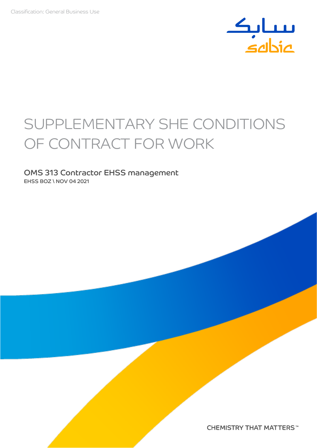

# SUPPLEMENTARY SHE CONDITIONS OF CONTRACT FOR WORK

### OMS 313 Contractor EHSS management EHSS BOZ \ NOV 04 2021

**CHEMISTRY THAT MATTERS™**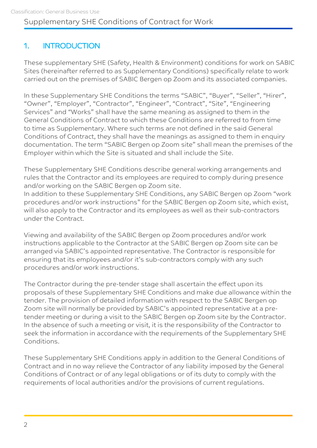# 1. INTRODUCTION

These supplementary SHE (Safety, Health & Environment) conditions for work on SABIC Sites (hereinafter referred to as Supplementary Conditions) specifically relate to work carried out on the premises of SABIC Bergen op Zoom and its associated companies.

In these Supplementary SHE Conditions the terms "SABIC", "Buyer", "Seller", "Hirer", "Owner", "Employer", "Contractor", "Engineer", "Contract", "Site", "Engineering Services" and "Works" shall have the same meaning as assigned to them in the General Conditions of Contract to which these Conditions are referred to from time to time as Supplementary. Where such terms are not defined in the said General Conditions of Contract, they shall have the meanings as assigned to them in enquiry documentation. The term "SABIC Bergen op Zoom site" shall mean the premises of the Employer within which the Site is situated and shall include the Site.

These Supplementary SHE Conditions describe general working arrangements and rules that the Contractor and its employees are required to comply during presence and/or working on the SABIC Bergen op Zoom site.

In addition to these Supplementary SHE Conditions, any SABIC Bergen op Zoom "work procedures and/or work instructions" for the SABIC Bergen op Zoom site, which exist, will also apply to the Contractor and its employees as well as their sub-contractors under the Contract.

Viewing and availability of the SABIC Bergen op Zoom procedures and/or work instructions applicable to the Contractor at the SABIC Bergen op Zoom site can be arranged via SABIC's appointed representative. The Contractor is responsible for ensuring that its employees and/or it's sub-contractors comply with any such procedures and/or work instructions.

The Contractor during the pre-tender stage shall ascertain the effect upon its proposals of these Supplementary SHE Conditions and make due allowance within the tender. The provision of detailed information with respect to the SABIC Bergen op Zoom site will normally be provided by SABIC's appointed representative at a pretender meeting or during a visit to the SABIC Bergen op Zoom site by the Contractor. In the absence of such a meeting or visit, it is the responsibility of the Contractor to seek the information in accordance with the requirements of the Supplementary SHE Conditions.

These Supplementary SHE Conditions apply in addition to the General Conditions of Contract and in no way relieve the Contractor of any liability imposed by the General Conditions of Contract or of any legal obligations or of its duty to comply with the requirements of local authorities and/or the provisions of current regulations.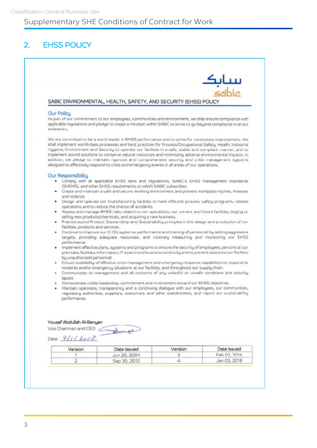# 2. EHSS POLICY

| ىبىياتىك<br>غاناھە           |         |                                                                                                                                                                                                                                                                                                                                                                                                                                                                                                                                                                                                                                                          |                                     |
|------------------------------|---------|----------------------------------------------------------------------------------------------------------------------------------------------------------------------------------------------------------------------------------------------------------------------------------------------------------------------------------------------------------------------------------------------------------------------------------------------------------------------------------------------------------------------------------------------------------------------------------------------------------------------------------------------------------|-------------------------------------|
|                              |         | SABIC ENVIRONMENTAL, HEALTH, SAFETY, AND SECURITY (EHSS) POLICY                                                                                                                                                                                                                                                                                                                                                                                                                                                                                                                                                                                          |                                     |
|                              |         |                                                                                                                                                                                                                                                                                                                                                                                                                                                                                                                                                                                                                                                          |                                     |
|                              |         | As part of our commitment to our employees, communities and environment, we shall ensure compliance with<br>applicable regulations and pledge to create a mindset within SABIC to strive to go beyond compliance in all our                                                                                                                                                                                                                                                                                                                                                                                                                              | <b>Our Policy</b><br>en julianours. |
|                              |         | We are committed to be a world leader in EHSS performance and to strive for continuous improvement. We<br>shall implement world-class processes and best practices for Process/Occupational Safety, Health, Industrial<br>Hygiene, Environment and Security to operate our facilities in a safe, stable and compliant manner, and to<br>implement sound solutions to conserve natural resources and minimizing adverse environmental impacts. In<br>addition, we pledge to maintain rigorous and comprehensive security and crisis management systems.<br>designed to effectively respond to crisis and emergency events in all areas of our operations. |                                     |
|                              |         | . Comply with all applicable EHSS laws and regulations, SABIC's EHSS Management Standards<br>(SHEMS), and other EHSS requirements to which SABIC subscribes.                                                                                                                                                                                                                                                                                                                                                                                                                                                                                             | Our Responsibility                  |
|                              |         | . Create and maintain a safe and secure working environment and prevent workplace injuries, illnesses                                                                                                                                                                                                                                                                                                                                                                                                                                                                                                                                                    | and violence.                       |
|                              |         | . Design and operate our manufacturing facilities to have effective process safety programs, reliable<br>operations and to reduce the chance of accidents.                                                                                                                                                                                                                                                                                                                                                                                                                                                                                               |                                     |
|                              |         | Assess and manage EH33 risks related to our operations, our corrent and future facilities, buging or                                                                                                                                                                                                                                                                                                                                                                                                                                                                                                                                                     |                                     |
|                              |         | selling new products/chemicals, and acquiring a new business.<br>Practice sound Product Stewardship and Sustainability principles in the design and production of our                                                                                                                                                                                                                                                                                                                                                                                                                                                                                    |                                     |
|                              |         |                                                                                                                                                                                                                                                                                                                                                                                                                                                                                                                                                                                                                                                          | facilities, products and services.  |
|                              |         | Continue to improve our CI 155 systems, performance and training of personnel by setting aggressive<br>targets, providing adequate resources, and routinely measuring and monitoring our EHSS                                                                                                                                                                                                                                                                                                                                                                                                                                                            | ٠<br>performance.                   |
|                              |         | Implement effective plans, systems and programs to ensure the security of employees, persons at our<br>premises, facilities, information, IT assets and business continuity and to prevent access to our facilities                                                                                                                                                                                                                                                                                                                                                                                                                                      | by unauthorized personnel.          |
|                              |         | Ensure availability of effective crisis management and emergency response capabilities to respond to                                                                                                                                                                                                                                                                                                                                                                                                                                                                                                                                                     | ٠                                   |
|                              |         | incidents and/or emergency situations at our facilities, and throughout our supply chain.<br>Communicate to management and all concerns of any unlawful or unsafe conditions and security                                                                                                                                                                                                                                                                                                                                                                                                                                                                | ٠                                   |
|                              |         |                                                                                                                                                                                                                                                                                                                                                                                                                                                                                                                                                                                                                                                          | lapses                              |
|                              |         | Demonstrate visible leadership, commitment and involvement toward our EHSS objectives.<br>Maintain openness, transparency and a continuing dialogue with our employees, our communities,                                                                                                                                                                                                                                                                                                                                                                                                                                                                 |                                     |
|                              |         | regulatory authorities, suppliers, customers and other stakeholders, and report our sustainability                                                                                                                                                                                                                                                                                                                                                                                                                                                                                                                                                       |                                     |
|                              |         |                                                                                                                                                                                                                                                                                                                                                                                                                                                                                                                                                                                                                                                          | performance.                        |
|                              |         |                                                                                                                                                                                                                                                                                                                                                                                                                                                                                                                                                                                                                                                          |                                     |
|                              |         |                                                                                                                                                                                                                                                                                                                                                                                                                                                                                                                                                                                                                                                          | Yousef Abdullah Al-Benyan           |
|                              |         | Company                                                                                                                                                                                                                                                                                                                                                                                                                                                                                                                                                                                                                                                  | Vice Chairman and CEO               |
|                              |         |                                                                                                                                                                                                                                                                                                                                                                                                                                                                                                                                                                                                                                                          | Date: $81/2018$                     |
|                              | Version | Date issued                                                                                                                                                                                                                                                                                                                                                                                                                                                                                                                                                                                                                                              | Version                             |
| Date issued                  |         |                                                                                                                                                                                                                                                                                                                                                                                                                                                                                                                                                                                                                                                          |                                     |
| Feb 02, 2016<br>Jan 03, 2018 | 3.<br>4 | Jun 20, 2004<br>Sep 30, 2012                                                                                                                                                                                                                                                                                                                                                                                                                                                                                                                                                                                                                             | т.<br>$\overline{2}$                |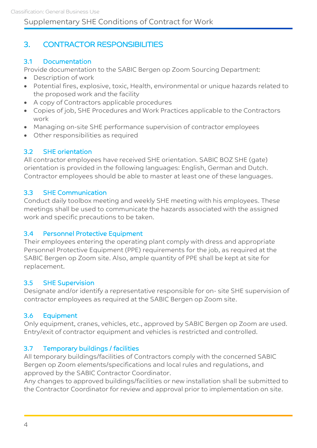# 3. CONTRACTOR RESPONSIBILITIES

# 3.1 Documentation

Provide documentation to the SABIC Bergen op Zoom Sourcing Department:

- Description of work
- Potential fires, explosive, toxic, Health, environmental or unique hazards related to the proposed work and the facility
- A copy of Contractors applicable procedures
- Copies of job, SHE Procedures and Work Practices applicable to the Contractors work
- Managing on-site SHE performance supervision of contractor employees
- Other responsibilities as required

#### 3.2 SHE orientation

All contractor employees have received SHE orientation. SABIC BOZ SHE (gate) orientation is provided in the following languages: English, German and Dutch. Contractor employees should be able to master at least one of these languages.

#### 3.3 SHE Communication

Conduct daily toolbox meeting and weekly SHE meeting with his employees. These meetings shall be used to communicate the hazards associated with the assigned work and specific precautions to be taken.

#### 3.4 Personnel Protective Equipment

Their employees entering the operating plant comply with dress and appropriate Personnel Protective Equipment (PPE) requirements for the job, as required at the SABIC Bergen op Zoom site. Also, ample quantity of PPE shall be kept at site for replacement.

#### 3.5 SHE Supervision

Designate and/or identify a representative responsible for on- site SHE supervision of contractor employees as required at the SABIC Bergen op Zoom site.

#### 3.6 Equipment

Only equipment, cranes, vehicles, etc., approved by SABIC Bergen op Zoom are used. Entry/exit of contractor equipment and vehicles is restricted and controlled.

#### 3.7 Temporary buildings / facilities

All temporary buildings/facilities of Contractors comply with the concerned SABIC Bergen op Zoom elements/specifications and local rules and regulations, and approved by the SABIC Contractor Coordinator.

Any changes to approved buildings/facilities or new installation shall be submitted to the Contractor Coordinator for review and approval prior to implementation on site.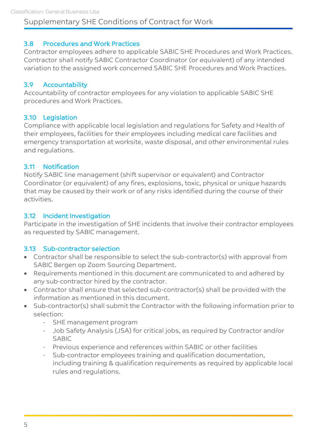### 3.8 Procedures and Work Practices

Contractor employees adhere to applicable SABIC SHE Procedures and Work Practices. Contractor shall notify SABIC Contractor Coordinator (or equivalent) of any intended variation to the assigned work concerned SABIC SHE Procedures and Work Practices.

#### 3.9 Accountability

Accountability of contractor employees for any violation to applicable SABIC SHE procedures and Work Practices.

#### 3.10 Legislation

Compliance with applicable local legislation and regulations for Safety and Health of their employees, facilities for their employees including medical care facilities and emergency transportation at worksite, waste disposal, and other environmental rules and regulations.

#### 3.11 Notification

Notify SABIC line management (shift supervisor or equivalent) and Contractor Coordinator (or equivalent) of any fires, explosions, toxic, physical or unique hazards that may be caused by their work or of any risks identified during the course of their activities.

#### 3.12 Incident Investigation

Participate in the investigation of SHE incidents that involve their contractor employees as requested by SABIC management.

### 3.13 Sub-contractor selection

- Contractor shall be responsible to select the sub-contractor(s) with approval from SABIC Bergen op Zoom Sourcing Department.
- Requirements mentioned in this document are communicated to and adhered by any sub-contractor hired by the contractor.
- Contractor shall ensure that selected sub-contractor(s) shall be provided with the information as mentioned in this document.
- Sub-contractor(s) shall submit the Contractor with the following information prior to selection:
	- SHE management program
	- Job Safety Analysis (JSA) for critical jobs, as required by Contractor and/or SABIC
	- Previous experience and references within SABIC or other facilities
	- Sub-contractor employees training and qualification documentation, including training & qualification requirements as required by applicable local rules and regulations.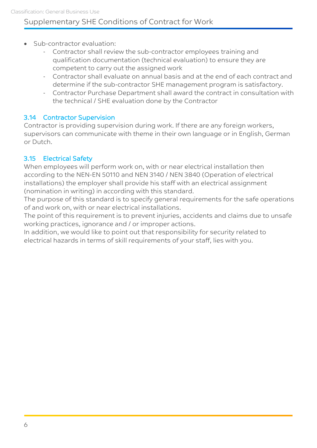- Sub-contractor evaluation:
	- Contractor shall review the sub-contractor employees training and qualification documentation (technical evaluation) to ensure they are competent to carry out the assigned work
	- Contractor shall evaluate on annual basis and at the end of each contract and determine if the sub-contractor SHE management program is satisfactory.
	- Contractor Purchase Department shall award the contract in consultation with the technical / SHE evaluation done by the Contractor

### 3.14 Contractor Supervision

Contractor is providing supervision during work. If there are any foreign workers, supervisors can communicate with theme in their own language or in English, German or Dutch.

# 3.15 Electrical Safety

When employees will perform work on, with or near electrical installation then according to the NEN-EN 50110 and NEN 3140 / NEN 3840 (Operation of electrical installations) the employer shall provide his staff with an electrical assignment (nomination in writing) in according with this standard.

The purpose of this standard is to specify general requirements for the safe operations of and work on, with or near electrical installations.

The point of this requirement is to prevent injuries, accidents and claims due to unsafe working practices, ignorance and / or improper actions.

In addition, we would like to point out that responsibility for security related to electrical hazards in terms of skill requirements of your staff, lies with you.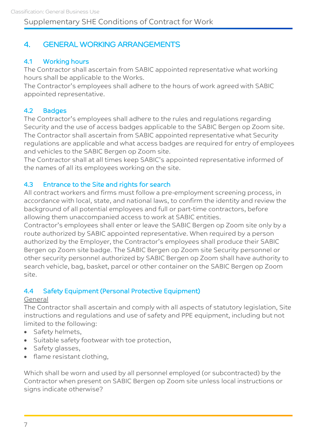# 4. GENERAL WORKING ARRANGEMENTS

### 4.1 Working hours

The Contractor shall ascertain from SABIC appointed representative what working hours shall be applicable to the Works.

The Contractor's employees shall adhere to the hours of work agreed with SABIC appointed representative.

#### 4.2 Badges

The Contractor's employees shall adhere to the rules and regulations regarding Security and the use of access badges applicable to the SABIC Bergen op Zoom site. The Contractor shall ascertain from SABIC appointed representative what Security regulations are applicable and what access badges are required for entry of employees and vehicles to the SABIC Bergen op Zoom site.

The Contractor shall at all times keep SABIC's appointed representative informed of the names of all its employees working on the site.

#### 4.3 Entrance to the Site and rights for search

All contract workers and firms must follow a pre-employment screening process, in accordance with local, state, and national laws, to confirm the identity and review the background of all potential employees and full or part-time contractors, before allowing them unaccompanied access to work at SABIC entities.

Contractor's employees shall enter or leave the SABIC Bergen op Zoom site only by a route authorized by SABIC appointed representative. When required by a person authorized by the Employer, the Contractor's employees shall produce their SABIC Bergen op Zoom site badge. The SABIC Bergen op Zoom site Security personnel or other security personnel authorized by SABIC Bergen op Zoom shall have authority to search vehicle, bag, basket, parcel or other container on the SABIC Bergen op Zoom site.

### 4.4 Safety Equipment (Personal Protective Equipment)

#### General

The Contractor shall ascertain and comply with all aspects of statutory legislation, Site instructions and regulations and use of safety and PPE equipment, including but not limited to the following:

- Safety helmets,
- Suitable safety footwear with toe protection,
- Safety glasses,
- flame resistant clothing,

Which shall be worn and used by all personnel employed (or subcontracted) by the Contractor when present on SABIC Bergen op Zoom site unless local instructions or signs indicate otherwise?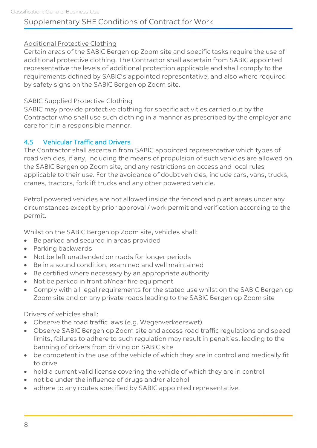#### Additional Protective Clothing

Certain areas of the SABIC Bergen op Zoom site and specific tasks require the use of additional protective clothing. The Contractor shall ascertain from SABIC appointed representative the levels of additional protection applicable and shall comply to the requirements defined by SABIC's appointed representative, and also where required by safety signs on the SABIC Bergen op Zoom site.

#### SABIC Supplied Protective Clothing

SABIC may provide protective clothing for specific activities carried out by the Contractor who shall use such clothing in a manner as prescribed by the employer and care for it in a responsible manner.

#### 4.5 Vehicular Traffic and Drivers

The Contractor shall ascertain from SABIC appointed representative which types of road vehicles, if any, including the means of propulsion of such vehicles are allowed on the SABIC Bergen op Zoom site, and any restrictions on access and local rules applicable to their use. For the avoidance of doubt vehicles, include cars, vans, trucks, cranes, tractors, forklift trucks and any other powered vehicle.

Petrol powered vehicles are not allowed inside the fenced and plant areas under any circumstances except by prior approval / work permit and verification according to the permit.

Whilst on the SABIC Bergen op Zoom site, vehicles shall:

- Be parked and secured in areas provided
- Parking backwards
- Not be left unattended on roads for longer periods
- Be in a sound condition, examined and well maintained
- Be certified where necessary by an appropriate authority
- Not be parked in front of/near fire equipment
- Comply with all legal requirements for the stated use whilst on the SABIC Bergen op Zoom site and on any private roads leading to the SABIC Bergen op Zoom site

Drivers of vehicles shall:

- Observe the road traffic laws (e.g. Wegenverkeerswet)
- Observe SABIC Bergen op Zoom site and access road traffic regulations and speed limits, failures to adhere to such regulation may result in penalties, leading to the banning of drivers from driving on SABIC site
- be competent in the use of the vehicle of which they are in control and medically fit to drive
- hold a current valid license covering the vehicle of which they are in control
- not be under the influence of drugs and/or alcohol
- adhere to any routes specified by SABIC appointed representative.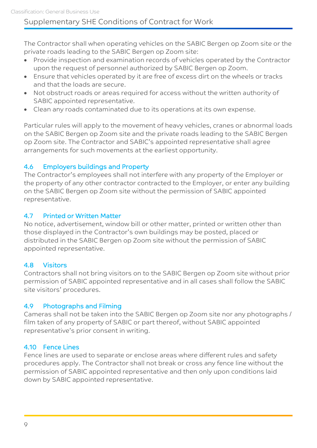The Contractor shall when operating vehicles on the SABIC Bergen op Zoom site or the private roads leading to the SABIC Bergen op Zoom site:

- Provide inspection and examination records of vehicles operated by the Contractor upon the request of personnel authorized by SABIC Bergen op Zoom.
- Ensure that vehicles operated by it are free of excess dirt on the wheels or tracks and that the loads are secure.
- Not obstruct roads or areas required for access without the written authority of SABIC appointed representative.
- Clean any roads contaminated due to its operations at its own expense.

Particular rules will apply to the movement of heavy vehicles, cranes or abnormal loads on the SABIC Bergen op Zoom site and the private roads leading to the SABIC Bergen op Zoom site. The Contractor and SABIC's appointed representative shall agree arrangements for such movements at the earliest opportunity.

### 4.6 Employers buildings and Property

The Contractor's employees shall not interfere with any property of the Employer or the property of any other contractor contracted to the Employer, or enter any building on the SABIC Bergen op Zoom site without the permission of SABIC appointed representative.

#### 4.7 Printed or Written Matter

No notice, advertisement, window bill or other matter, printed or written other than those displayed in the Contractor's own buildings may be posted, placed or distributed in the SABIC Bergen op Zoom site without the permission of SABIC appointed representative.

### 4.8 Visitors

Contractors shall not bring visitors on to the SABIC Bergen op Zoom site without prior permission of SABIC appointed representative and in all cases shall follow the SABIC site visitors' procedures.

### 4.9 Photographs and Filming

Cameras shall not be taken into the SABIC Bergen op Zoom site nor any photographs / film taken of any property of SABIC or part thereof, without SABIC appointed representative's prior consent in writing.

### 4.10 Fence Lines

Fence lines are used to separate or enclose areas where different rules and safety procedures apply. The Contractor shall not break or cross any fence line without the permission of SABIC appointed representative and then only upon conditions laid down by SABIC appointed representative.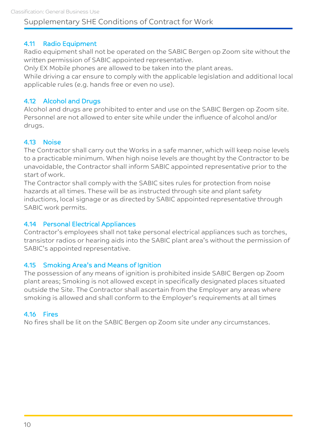### 4.11 Radio Equipment

Radio equipment shall not be operated on the SABIC Bergen op Zoom site without the written permission of SABIC appointed representative.

Only EX Mobile phones are allowed to be taken into the plant areas.

While driving a car ensure to comply with the applicable legislation and additional local applicable rules (e.g. hands free or even no use).

#### 4.12 Alcohol and Drugs

Alcohol and drugs are prohibited to enter and use on the SABIC Bergen op Zoom site. Personnel are not allowed to enter site while under the influence of alcohol and/or drugs.

#### 4.13 Noise

The Contractor shall carry out the Works in a safe manner, which will keep noise levels to a practicable minimum. When high noise levels are thought by the Contractor to be unavoidable, the Contractor shall inform SABIC appointed representative prior to the start of work.

The Contractor shall comply with the SABIC sites rules for protection from noise hazards at all times. These will be as instructed through site and plant safety inductions, local signage or as directed by SABIC appointed representative through SABIC work permits.

#### 4.14 Personal Electrical Appliances

Contractor's employees shall not take personal electrical appliances such as torches, transistor radios or hearing aids into the SABIC plant area's without the permission of SABIC's appointed representative.

#### 4.15 Smoking Area's and Means of Ignition

The possession of any means of ignition is prohibited inside SABIC Bergen op Zoom plant areas; Smoking is not allowed except in specifically designated places situated outside the Site. The Contractor shall ascertain from the Employer any areas where smoking is allowed and shall conform to the Employer's requirements at all times

### 4.16 Fires

No fires shall be lit on the SABIC Bergen op Zoom site under any circumstances.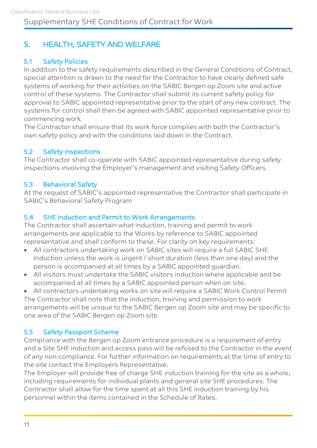# 5. HEALTH, SAFETY AND WELFARE

# 5.1 Safety Policies

In addition to the safety requirements described in the General Conditions of Contract, special attention is drawn to the need for the Contractor to have clearly defined safe systems of working for their activities on the SABIC Bergen op Zoom site and active control of these systems. The Contractor shall submit its current safety policy for approval to SABIC appointed representative prior to the start of any new contract. The systems for control shall then be agreed with SABIC appointed representative prior to commencing work.

The Contractor shall ensure that its work force complies with both the Contractor's own safety policy and with the conditions laid down in the Contract.

#### 5.2 Safety inspections

The Contractor shall co-operate with SABIC appointed representative during safety inspections involving the Employer's management and visiting Safety Officers.

#### 5.3 Behavioral Safety

At the request of SABIC's appointed representative the Contractor shall participate in SABIC's Behavioral Safety Program

#### 5.4 SHE Induction and Permit to Work Arrangements

The Contractor shall ascertain what induction, training and permit to work arrangements are applicable to the Works by reference to SABIC appointed representative and shall conform to these. For clarity on key requirements:

- All contractors undertaking work on SABIC sites will require a full SABIC SHE Induction unless the work is urgent / short duration (less than one day) and the person is accompanied at all times by a SABIC appointed guardian.
- All visitors must undertake the SABIC visitors induction where applicable and be accompanied at all times by a SABIC appointed person when on site.

 All contractors undertaking works on site will require a SABIC Work Control Permit The Contractor shall note that the induction, training and permission to work arrangements will be unique to the SABIC Bergen op Zoom site and may be specific to one area of the SABIC Bergen op Zoom site.

### 5.5 Safety Passport Scheme

Compliance with the Bergen op Zoom entrance procedure is a requirement of entry and a Site SHE induction and access pass will be refused to the Contractor in the event of any non-compliance. For further information on requirements at the time of entry to the site contact the Employers Representative.

The Employer will provide free of charge SHE induction training for the site as a whole, including requirements for individual plants and general site SHE procedures. The Contractor shall allow for the time spent at all this SHE induction training by his personnel within the items contained in the Schedule of Rates.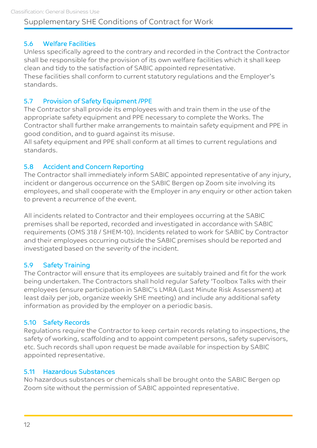### 5.6 Welfare Facilities

Unless specifically agreed to the contrary and recorded in the Contract the Contractor shall be responsible for the provision of its own welfare facilities which it shall keep clean and tidy to the satisfaction of SABIC appointed representative.

These facilities shall conform to current statutory regulations and the Employer's standards.

#### 5.7 Provision of Safety Equipment /PPE

The Contractor shall provide its employees with and train them in the use of the appropriate safety equipment and PPE necessary to complete the Works. The Contractor shall further make arrangements to maintain safety equipment and PPE in good condition, and to guard against its misuse.

All safety equipment and PPE shall conform at all times to current regulations and standards.

#### 5.8 Accident and Concern Reporting

The Contractor shall immediately inform SABIC appointed representative of any injury, incident or dangerous occurrence on the SABIC Bergen op Zoom site involving its employees, and shall cooperate with the Employer in any enquiry or other action taken to prevent a recurrence of the event.

All incidents related to Contractor and their employees occurring at the SABIC premises shall be reported, recorded and investigated in accordance with SABIC requirements (OMS 318 / SHEM-10). Incidents related to work for SABIC by Contractor and their employees occurring outside the SABIC premises should be reported and investigated based on the severity of the incident.

#### 5.9 Safety Training

The Contractor will ensure that its employees are suitably trained and fit for the work being undertaken. The Contractors shall hold regular Safety 'Toolbox Talks with their employees (ensure participation in SABIC's LMRA (Last Minute Risk Assessment) at least daily per job, organize weekly SHE meeting) and include any additional safety information as provided by the employer on a periodic basis.

#### 5.10 Safety Records

Regulations require the Contractor to keep certain records relating to inspections, the safety of working, scaffolding and to appoint competent persons, safety supervisors, etc. Such records shall upon request be made available for inspection by SABIC appointed representative.

#### 5.11 Hazardous Substances

No hazardous substances or chemicals shall be brought onto the SABIC Bergen op Zoom site without the permission of SABIC appointed representative.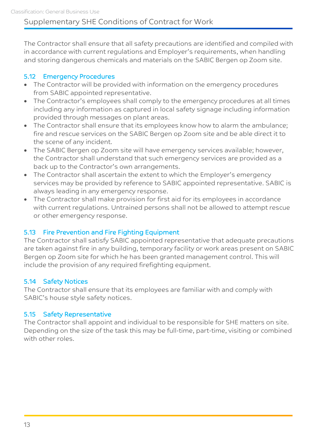The Contractor shall ensure that all safety precautions are identified and compiled with in accordance with current regulations and Employer's requirements, when handling and storing dangerous chemicals and materials on the SABIC Bergen op Zoom site.

### 5.12 Emergency Procedures

- The Contractor will be provided with information on the emergency procedures from SABIC appointed representative.
- The Contractor's employees shall comply to the emergency procedures at all times including any information as captured in local safety signage including information provided through messages on plant areas.
- The Contractor shall ensure that its employees know how to alarm the ambulance; fire and rescue services on the SABIC Bergen op Zoom site and be able direct it to the scene of any incident.
- The SABIC Bergen op Zoom site will have emergency services available; however, the Contractor shall understand that such emergency services are provided as a back up to the Contractor's own arrangements.
- The Contractor shall ascertain the extent to which the Employer's emergency services may be provided by reference to SABIC appointed representative. SABIC is always leading in any emergency response.
- The Contractor shall make provision for first aid for its employees in accordance with current regulations. Untrained persons shall not be allowed to attempt rescue or other emergency response.

### 5.13 Fire Prevention and Fire Fighting Equipment

The Contractor shall satisfy SABIC appointed representative that adequate precautions are taken against fire in any building, temporary facility or work areas present on SABIC Bergen op Zoom site for which he has been granted management control. This will include the provision of any required firefighting equipment.

### 5.14 Safety Notices

The Contractor shall ensure that its employees are familiar with and comply with SABIC's house style safety notices.

### 5.15 Safety Representative

The Contractor shall appoint and individual to be responsible for SHE matters on site. Depending on the size of the task this may be full-time, part-time, visiting or combined with other roles.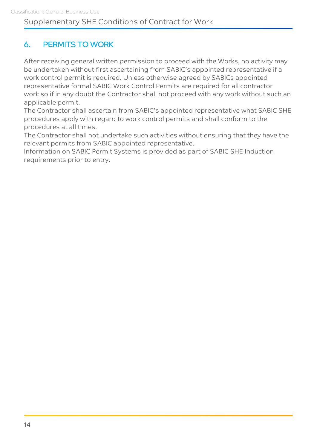# 6. PERMITS TO WORK

After receiving general written permission to proceed with the Works, no activity may be undertaken without first ascertaining from SABIC's appointed representative if a work control permit is required. Unless otherwise agreed by SABICs appointed representative formal SABIC Work Control Permits are required for all contractor work so if in any doubt the Contractor shall not proceed with any work without such an applicable permit.

The Contractor shall ascertain from SABIC's appointed representative what SABIC SHE procedures apply with regard to work control permits and shall conform to the procedures at all times.

The Contractor shall not undertake such activities without ensuring that they have the relevant permits from SABIC appointed representative.

Information on SABIC Permit Systems is provided as part of SABIC SHE Induction requirements prior to entry.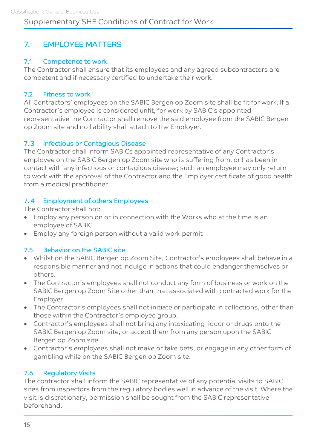# 7. EMPLOYEE MATTERS

### 7.1 Competence to work

The Contractor shall ensure that its employees and any agreed subcontractors are competent and if necessary certified to undertake their work.

#### 7.2 Fitness to work

All Contractors' employees on the SABIC Bergen op Zoom site shall be fit for work. If a Contractor's employee is considered unfit, for work by SABIC's appointed representative the Contractor shall remove the said employee from the SABIC Bergen op Zoom site and no liability shall attach to the Employer.

#### 7. 3 Infectious or Contagious Disease

The Contractor shall inform SABICs appointed representative of any Contractor's employee on the SABIC Bergen op Zoom site who is suffering from, or has been in contact with any infectious or contagious disease; such an employee may only return to work with the approval of the Contractor and the Employer certificate of good health from a medical practitioner.

### 7. 4 Employment of others Employees

The Contractor shall not:

- Employ any person on or in connection with the Works who at the time is an employee of SABIC
- Employ any foreign person without a valid work permit

### 7.5 Behavior on the SABIC site

- Whilst on the SABIC Bergen op Zoom Site, Contractor's employees shall behave in a responsible manner and not indulge in actions that could endanger themselves or others.
- The Contractor's employees shall not conduct any form of business or work on the SABIC Bergen op Zoom Site other than that associated with contracted work for the Employer.
- The Contractor's employees shall not initiate or participate in collections, other than those within the Contractor's employee group.
- Contractor's employees shall not bring any intoxicating liquor or drugs onto the SABIC Bergen op Zoom site, or accept them from any person upon the SABIC Bergen op Zoom site.
- Contractor's employees shall not make or take bets, or engage in any other form of gambling while on the SABIC Bergen op Zoom site.

### 7.6 Regulatory Visits

The contractor shall inform the SABIC representative of any potential visits to SABIC sites from inspectors from the regulatory bodies well in advance of the visit. Where the visit is discretionary, permission shall be sought from the SABIC representative beforehand.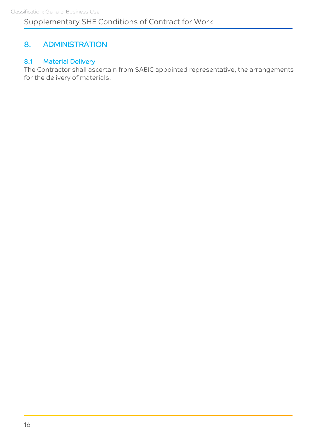# 8. ADMINISTRATION

### 8.1 Material Delivery

The Contractor shall ascertain from SABIC appointed representative, the arrangements for the delivery of materials.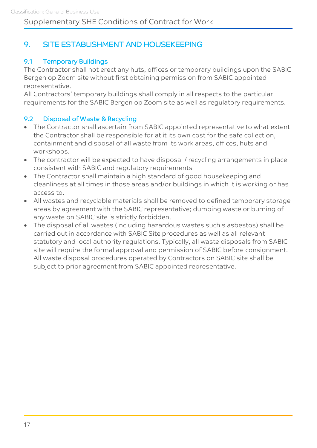# 9. SITE ESTABLISHMENT AND HOUSEKEEPING

# 9.1 Temporary Buildings

The Contractor shall not erect any huts, offices or temporary buildings upon the SABIC Bergen op Zoom site without first obtaining permission from SABIC appointed representative.

All Contractors' temporary buildings shall comply in all respects to the particular requirements for the SABIC Bergen op Zoom site as well as regulatory requirements.

### 9.2 Disposal of Waste & Recycling

- The Contractor shall ascertain from SABIC appointed representative to what extent the Contractor shall be responsible for at it its own cost for the safe collection, containment and disposal of all waste from its work areas, offices, huts and workshops.
- The contractor will be expected to have disposal / recycling arrangements in place consistent with SABIC and regulatory requirements
- The Contractor shall maintain a high standard of good housekeeping and cleanliness at all times in those areas and/or buildings in which it is working or has access to.
- All wastes and recyclable materials shall be removed to defined temporary storage areas by agreement with the SABIC representative; dumping waste or burning of any waste on SABIC site is strictly forbidden.
- The disposal of all wastes (including hazardous wastes such s asbestos) shall be carried out in accordance with SABIC Site procedures as well as all relevant statutory and local authority regulations. Typically, all waste disposals from SABIC site will require the formal approval and permission of SABIC before consignment. All waste disposal procedures operated by Contractors on SABIC site shall be subject to prior agreement from SABIC appointed representative.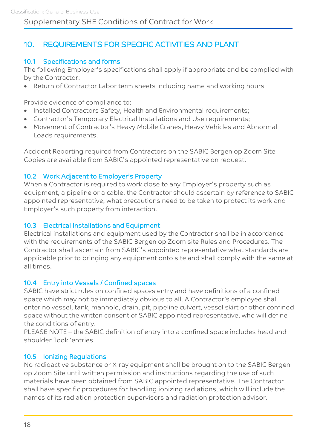# 10. REQUIREMENTS FOR SPECIFIC ACTIVITIES AND PLANT

### 10.1 Specifications and forms

The following Employer's specifications shall apply if appropriate and be complied with by the Contractor:

• Return of Contractor Labor term sheets including name and working hours

Provide evidence of compliance to:

- Installed Contractors Safety, Health and Environmental requirements;
- Contractor's Temporary Electrical Installations and Use requirements;
- Movement of Contractor's Heavy Mobile Cranes, Heavy Vehicles and Abnormal Loads requirements.

Accident Reporting required from Contractors on the SABIC Bergen op Zoom Site Copies are available from SABIC's appointed representative on request.

#### 10.2 Work Adjacent to Employer's Property

When a Contractor is required to work close to any Employer's property such as equipment, a pipeline or a cable, the Contractor should ascertain by reference to SABIC appointed representative, what precautions need to be taken to protect its work and Employer's such property from interaction.

#### 10.3 Electrical Installations and Equipment

Electrical installations and equipment used by the Contractor shall be in accordance with the requirements of the SABIC Bergen op Zoom site Rules and Procedures. The Contractor shall ascertain from SABIC's appointed representative what standards are applicable prior to bringing any equipment onto site and shall comply with the same at all times.

#### 10.4 Entry into Vessels / Confined spaces

SABIC have strict rules on confined spaces entry and have definitions of a confined space which may not be immediately obvious to all. A Contractor's employee shall enter no vessel, tank, manhole, drain, pit, pipeline culvert, vessel skirt or other confined space without the written consent of SABIC appointed representative, who will define the conditions of entry.

PLEASE NOTE – the SABIC definition of entry into a confined space includes head and shoulder 'look 'entries.

#### 10.5 Ionizing Regulations

No radioactive substance or X-ray equipment shall be brought on to the SABIC Bergen op Zoom Site until written permission and instructions regarding the use of such materials have been obtained from SABIC appointed representative. The Contractor shall have specific procedures for handling ionizing radiations, which will include the names of its radiation protection supervisors and radiation protection advisor.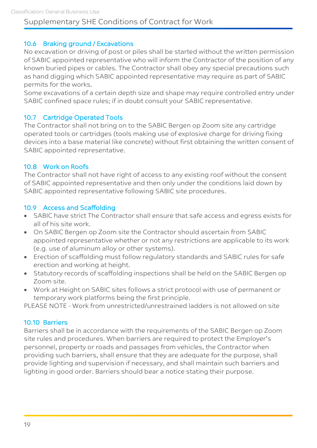### 10.6 Braking ground / Excavations

No excavation or driving of post or piles shall be started without the written permission of SABIC appointed representative who will inform the Contractor of the position of any known buried pipes or cables. The Contractor shall obey any special precautions such as hand digging which SABIC appointed representative may require as part of SABIC permits for the works.

Some excavations of a certain depth size and shape may require controlled entry under SABIC confined space rules; if in doubt consult your SABIC representative.

### 10.7 Cartridge Operated Tools

The Contractor shall not bring on to the SABIC Bergen op Zoom site any cartridge operated tools or cartridges (tools making use of explosive charge for driving fixing devices into a base material like concrete) without first obtaining the written consent of SABIC appointed representative.

#### 10.8 Work on Roofs

The Contractor shall not have right of access to any existing roof without the consent of SABIC appointed representative and then only under the conditions laid down by SABIC appointed representative following SABIC site procedures.

#### 10.9 Access and Scaffolding

- SABIC have strict The Contractor shall ensure that safe access and egress exists for all of his site work.
- On SABIC Bergen op Zoom site the Contractor should ascertain from SABIC appointed representative whether or not any restrictions are applicable to its work (e.g. use of aluminum alloy or other systems).
- Erection of scaffolding must follow regulatory standards and SABIC rules for safe erection and working at height.
- Statutory records of scaffolding inspections shall be held on the SABIC Bergen op Zoom site.
- Work at Height on SABIC sites follows a strict protocol with use of permanent or temporary work platforms being the first principle.

PLEASE NOTE - Work from unrestricted/unrestrained ladders is not allowed on site

### 10.10 Barriers

Barriers shall be in accordance with the requirements of the SABIC Bergen op Zoom site rules and procedures. When barriers are required to protect the Employer's personnel, property or roads and passages from vehicles, the Contractor when providing such barriers, shall ensure that they are adequate for the purpose, shall provide lighting and supervision if necessary, and shall maintain such barriers and lighting in good order. Barriers should bear a notice stating their purpose.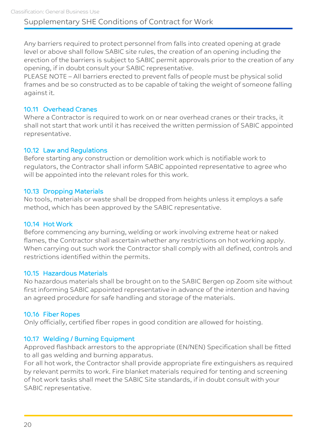Any barriers required to protect personnel from falls into created opening at grade level or above shall follow SABIC site rules, the creation of an opening including the erection of the barriers is subject to SABIC permit approvals prior to the creation of any opening, if in doubt consult your SABIC representative.

PLEASE NOTE – All barriers erected to prevent falls of people must be physical solid frames and be so constructed as to be capable of taking the weight of someone falling against it.

### 10.11 Overhead Cranes

Where a Contractor is required to work on or near overhead cranes or their tracks, it shall not start that work until it has received the written permission of SABIC appointed representative.

#### 10.12 Law and Regulations

Before starting any construction or demolition work which is notifiable work to regulators, the Contractor shall inform SABIC appointed representative to agree who will be appointed into the relevant roles for this work.

#### 10.13 Dropping Materials

No tools, materials or waste shall be dropped from heights unless it employs a safe method, which has been approved by the SABIC representative.

#### 10.14 Hot Work

Before commencing any burning, welding or work involving extreme heat or naked flames, the Contractor shall ascertain whether any restrictions on hot working apply. When carrying out such work the Contractor shall comply with all defined, controls and restrictions identified within the permits.

#### 10.15 Hazardous Materials

No hazardous materials shall be brought on to the SABIC Bergen op Zoom site without first informing SABIC appointed representative in advance of the intention and having an agreed procedure for safe handling and storage of the materials.

#### 10.16 Fiber Ropes

Only officially, certified fiber ropes in good condition are allowed for hoisting.

#### 10.17 Welding / Burning Equipment

Approved flashback arrestors to the appropriate (EN/NEN) Specification shall be fitted to all gas welding and burning apparatus.

For all hot work, the Contractor shall provide appropriate fire extinguishers as required by relevant permits to work. Fire blanket materials required for tenting and screening of hot work tasks shall meet the SABIC Site standards, if in doubt consult with your SABIC representative.